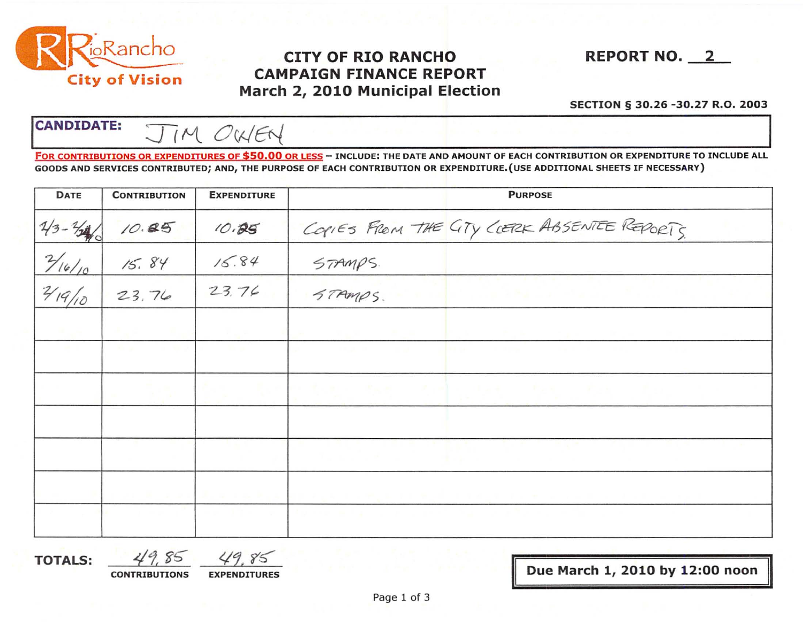

## City of Vision CAMPAIGN FINANCE REPORT March 2, 2010 Municipal Election

SECTION § 30. 26 -30.27 R.O. 2003

CANDIDATE:  $\overline{J/M}$  OWEN

FOR CONTRIBUTIONS OR EXPENDITURES OF \$50.00 OR LESS - INCLUDE: THE DATE AND AMOUNT OF EACH CONTRIBUTION OR EXPENDITURE TO INCLUDE ALL GOODS AND SERVICES CONTRIBUTED; AND, THE PURPOSE OF EACH CONTRIBUTION OR EXPENDITURE. (USE ADDITIONAL SHEETS IF NECESSARY)

| <b>DATE</b>       | <b>CONTRIBUTION</b> | <b>EXPENDITURE</b> | <b>PURPOSE</b>                                        |
|-------------------|---------------------|--------------------|-------------------------------------------------------|
| $1/3 - 1/4$       | 10.85               | 10.85              | COPIES FROM THE CITY CLERK ABSENTEE REPORTS           |
| $\frac{7}{16/10}$ | 15.84               | 15.84              | STAMPS.                                               |
|                   | 23,76               | 23.76              | STAMPS.<br>and the state of the state of the state of |
| <b>B</b>          |                     |                    |                                                       |
|                   |                     |                    |                                                       |
|                   |                     |                    | すいれい 大阪市 三大学部長 日本中 一大学年 一大学年                          |
|                   |                     |                    |                                                       |
|                   |                     |                    |                                                       |
|                   |                     |                    | <b>CONTRACTOR</b>                                     |

TOTALS:  $49.85$   $49.85$ 

CONTRIBUTIONS EXPENDITURES **EXPENDITURES** DUE March 1, 2010 by 12:00 noon

II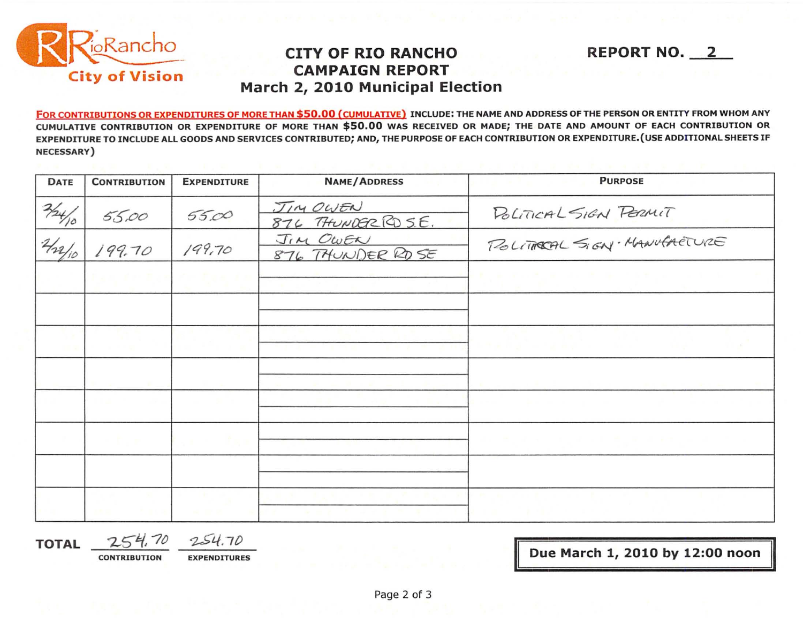

## **CITY OF RIO RANCHO CAMPAIGN REPORT** March 2, 2010 Municipal Election

FOR CONTRIBUTIONS OR EXPENDITURES OF MORE THAN \$50.00 (CUMULATIVE) INCLUDE: THE NAME AND ADDRESS OF THE PERSON OR ENTITY FROM WHOM ANY CUMULATIVE CONTRIBUTION OR EXPENDITURE OF MORE THAN \$50.00 WAS RECEIVED OR MADE; THE DATE AND AMOUNT OF EACH CONTRIBUTION OR EXPENDITURE TO INCLUDE ALL GOODS AND SERVICES CONTRIBUTED; AND, THE PURPOSE OF EACH CONTRIBUTION OR EXPENDITURE. (USE ADDITIONAL SHEETS IF NECESSARY)

| <b>DATE</b>      | <b>CONTRIBUTION</b> | <b>EXPENDITURE</b> | <b>NAME/ADDRESS</b>            | <b>PURPOSE</b>              |  |
|------------------|---------------------|--------------------|--------------------------------|-----------------------------|--|
|                  | 55.00               | 55.00              | JIM OWEN<br>876 THUNDERRD S.E. | POLITICAL SIGN PERMIT       |  |
| $\frac{224}{10}$ | 199.70              | 199,70             | JIM OWEN<br>876 THUNDER RD SE  | POLITICAL SIGN. MANUFACTURE |  |
|                  |                     |                    |                                |                             |  |
|                  |                     |                    |                                |                             |  |
|                  |                     |                    |                                |                             |  |
|                  |                     |                    |                                |                             |  |
|                  |                     |                    |                                |                             |  |
|                  |                     |                    |                                |                             |  |
|                  |                     |                    |                                |                             |  |
|                  |                     |                    |                                |                             |  |

**TOTAL** 

254.70  $254.70$ 

**CONTRIBUTION** 

Due March 1, 2010 by 12:00 noon

**REPORT NO. 2**